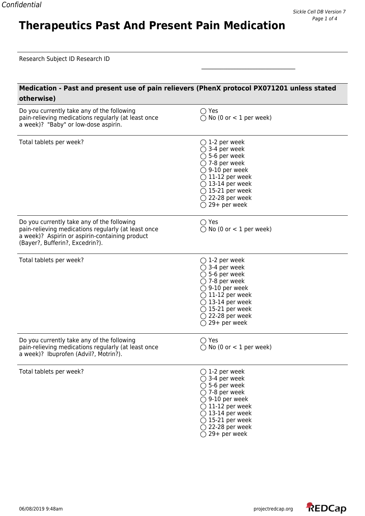## **Medication - Past and present use of pain relievers (PhenX protocol PX071201 unless stated otherwise)**

\_\_\_\_\_\_\_\_\_\_\_\_\_\_\_\_\_\_\_\_\_\_\_\_\_\_\_\_\_\_\_\_\_\_

**Therapeutics Past And Present Pain Medication**

| Do you currently take any of the following<br>pain-relieving medications regularly (at least once<br>a week)? "Baby" or low-dose aspirin.                                              | $\bigcirc$ Yes<br>$\bigcirc$ No (0 or < 1 per week)                                                                                                                                                                                                                                 |
|----------------------------------------------------------------------------------------------------------------------------------------------------------------------------------------|-------------------------------------------------------------------------------------------------------------------------------------------------------------------------------------------------------------------------------------------------------------------------------------|
| Total tablets per week?                                                                                                                                                                | $\bigcirc$ 1-2 per week<br>$\bigcirc$ 3-4 per week<br>$\bigcirc$ 5-6 per week<br>$\bigcirc$ 7-8 per week<br>$\bigcirc$ 9-10 per week<br>$\bigcirc$ 11-12 per week<br>$\bigcirc$ 13-14 per week<br>$\bigcirc$ 15-21 per week<br>$\bigcirc$ 22-28 per week<br>$\bigcirc$ 29+ per week |
| Do you currently take any of the following<br>pain-relieving medications regularly (at least once<br>a week)? Aspirin or aspirin-containing product<br>(Bayer?, Bufferin?, Excedrin?). | $\bigcirc$ Yes<br>$\bigcirc$ No (0 or < 1 per week)                                                                                                                                                                                                                                 |
| Total tablets per week?                                                                                                                                                                | $\bigcirc$ 1-2 per week<br>$\bigcirc$ 3-4 per week<br>$\bigcirc$ 5-6 per week<br>$\bigcirc$ 7-8 per week<br>$\bigcirc$ 9-10 per week<br>$\bigcirc$ 11-12 per week<br>$\bigcirc$ 13-14 per week<br>$\bigcirc$ 15-21 per week<br>$\bigcirc$ 22-28 per week<br>$\bigcirc$ 29+ per week |
| Do you currently take any of the following<br>pain-relieving medications regularly (at least once<br>a week)? Ibuprofen (Advil?, Motrin?).                                             | $\bigcirc$ Yes<br>$\bigcirc$ No (0 or < 1 per week)                                                                                                                                                                                                                                 |
| Total tablets per week?                                                                                                                                                                | $\bigcirc$ 1-2 per week<br>$\bigcirc$ 3-4 per week<br>$\bigcirc$ 5-6 per week<br>$\bigcirc$ 7-8 per week<br>$\bigcirc$ 9-10 per week<br>$\bigcirc$ 11-12 per week<br>$\bigcirc$ 13-14 per week<br>$\bigcirc$ 15-21 per week<br>$\bigcirc$ 22-28 per week<br>$\bigcirc$ 29+ per week |

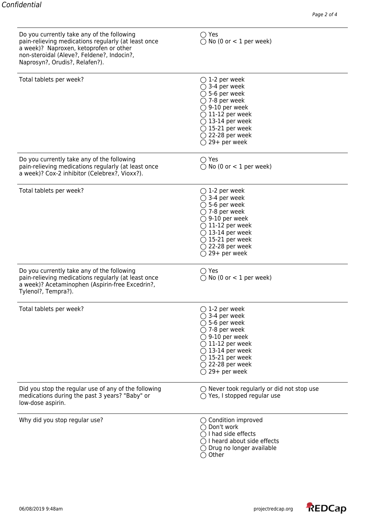| Do you currently take any of the following<br>pain-relieving medications regularly (at least once<br>a week)? Naproxen, ketoprofen or other<br>non-steroidal (Aleve?, Feldene?, Indocin?,<br>Naprosyn?, Orudis?, Relafen?). | $\bigcirc$ Yes<br>$\bigcirc$ No (0 or < 1 per week)                                                                                                                                                                                                                                 |
|-----------------------------------------------------------------------------------------------------------------------------------------------------------------------------------------------------------------------------|-------------------------------------------------------------------------------------------------------------------------------------------------------------------------------------------------------------------------------------------------------------------------------------|
| Total tablets per week?                                                                                                                                                                                                     | $\bigcirc$ 1-2 per week<br>$\bigcirc$ 3-4 per week<br>$\bigcirc$ 5-6 per week<br>$\bigcirc$ 7-8 per week<br>$\bigcirc$ 9-10 per week<br>$\bigcirc$ 11-12 per week<br>$\bigcirc$ 13-14 per week<br>$\bigcirc$ 15-21 per week<br>$\bigcirc$ 22-28 per week<br>$\bigcirc$ 29+ per week |
| Do you currently take any of the following<br>pain-relieving medications regularly (at least once<br>a week)? Cox-2 inhibitor (Celebrex?, Vioxx?).                                                                          | $\bigcirc$ Yes<br>$\bigcirc$ No (0 or < 1 per week)                                                                                                                                                                                                                                 |
| Total tablets per week?                                                                                                                                                                                                     | $\bigcirc$ 1-2 per week<br>$\bigcirc$ 3-4 per week<br>$\bigcirc$ 5-6 per week<br>$\bigcirc$ 7-8 per week<br>$\bigcirc$ 9-10 per week<br>$\bigcirc$ 11-12 per week<br>$\bigcirc$ 13-14 per week<br>$\bigcirc$ 15-21 per week<br>$\bigcirc$ 22-28 per week<br>$\bigcirc$ 29+ per week |
| Do you currently take any of the following<br>pain-relieving medications regularly (at least once<br>a week)? Acetaminophen (Aspirin-free Excedrin?,<br>Tylenol?, Tempra?).                                                 | $\bigcirc$ Yes<br>$\bigcirc$ No (0 or < 1 per week)                                                                                                                                                                                                                                 |
| Total tablets per week?                                                                                                                                                                                                     | $\bigcirc$ 1-2 per week<br>$\bigcirc$ 3-4 per week<br>$\bigcirc$ 5-6 per week<br>$\bigcirc$ 7-8 per week<br>$\bigcirc$ 9-10 per week<br>$\bigcirc$ 11-12 per week<br>$\bigcirc$ 13-14 per week<br>$\bigcirc$ 15-21 per week<br>$\bigcirc$ 22-28 per week<br>$\bigcirc$ 29+ per week |
| Did you stop the regular use of any of the following<br>medications during the past 3 years? "Baby" or<br>low-dose aspirin.                                                                                                 | $\bigcirc$ Never took regularly or did not stop use<br>$\bigcirc$ Yes, I stopped regular use                                                                                                                                                                                        |
| Why did you stop regular use?                                                                                                                                                                                               | $\bigcirc$ Condition improved<br>◯ Don't work<br>$\bigcirc$ I had side effects<br>$\bigcirc$ I heard about side effects<br>$\bigcirc$ Drug no longer available<br>$\bigcirc$ Other                                                                                                  |

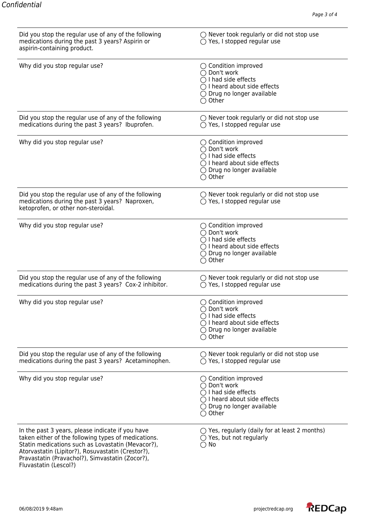| Did you stop the regular use of any of the following<br>medications during the past 3 years? Aspirin or<br>aspirin-containing product.                                                                                                                                                        | $\bigcirc$ Never took regularly or did not stop use<br>$\bigcirc$ Yes, I stopped regular use                                                                                       |
|-----------------------------------------------------------------------------------------------------------------------------------------------------------------------------------------------------------------------------------------------------------------------------------------------|------------------------------------------------------------------------------------------------------------------------------------------------------------------------------------|
| Why did you stop regular use?                                                                                                                                                                                                                                                                 | $\bigcirc$ Condition improved<br>◯ Don't work<br>$\bigcap$ I had side effects<br>$\bigcirc$ I heard about side effects<br>$\bigcirc$ Drug no longer available<br>$\bigcirc$ Other  |
| Did you stop the regular use of any of the following<br>medications during the past 3 years? Ibuprofen.                                                                                                                                                                                       | $\bigcirc$ Never took regularly or did not stop use<br>$\bigcirc$ Yes, I stopped regular use                                                                                       |
| Why did you stop regular use?                                                                                                                                                                                                                                                                 | $\bigcirc$ Condition improved<br>◯ Don't work<br>$\bigcirc$ I had side effects<br>$\bigcirc$ I heard about side effects<br>$\bigcirc$ Drug no longer available<br>$\bigcirc$ Other |
| Did you stop the regular use of any of the following<br>medications during the past 3 years? Naproxen,<br>ketoprofen, or other non-steroidal.                                                                                                                                                 | $\bigcirc$ Never took regularly or did not stop use<br>$\bigcirc$ Yes, I stopped regular use                                                                                       |
| Why did you stop regular use?                                                                                                                                                                                                                                                                 | $\bigcirc$ Condition improved<br>◯ Don't work<br>$\bigcirc$ I had side effects<br>$\bigcirc$ I heard about side effects<br>$\bigcirc$ Drug no longer available<br>$\bigcirc$ Other |
| Did you stop the regular use of any of the following<br>medications during the past 3 years? Cox-2 inhibitor.                                                                                                                                                                                 | $\bigcirc$ Never took regularly or did not stop use<br>$\bigcirc$ Yes, I stopped regular use                                                                                       |
| Why did you stop regular use?                                                                                                                                                                                                                                                                 | $\bigcirc$ Condition improved<br>◯ Don't work<br>$\bigcirc$ I had side effects<br>$\bigcirc$ I heard about side effects<br>$\bigcirc$ Drug no longer available<br>Other            |
| Did you stop the regular use of any of the following<br>medications during the past 3 years? Acetaminophen.                                                                                                                                                                                   | $\bigcirc$ Never took regularly or did not stop use<br>$\bigcirc$ Yes, I stopped regular use                                                                                       |
| Why did you stop regular use?                                                                                                                                                                                                                                                                 | $\bigcirc$ Condition improved<br>◯ Don't work<br>$\bigcap$ I had side effects<br>$\bigcirc$ I heard about side effects<br>$\bigcirc$ Drug no longer available<br>$\bigcirc$ Other  |
| In the past 3 years, please indicate if you have<br>taken either of the following types of medications.<br>Statin medications such as Lovastatin (Mevacor?),<br>Atorvastatin (Lipitor?), Rosuvastatin (Crestor?),<br>Pravastatin (Pravachol?), Simvastatin (Zocor?),<br>Fluvastatin (Lescol?) | $\bigcirc$ Yes, regularly (daily for at least 2 months)<br>$\bigcirc$ Yes, but not regularly<br>$\bigcirc$ No                                                                      |